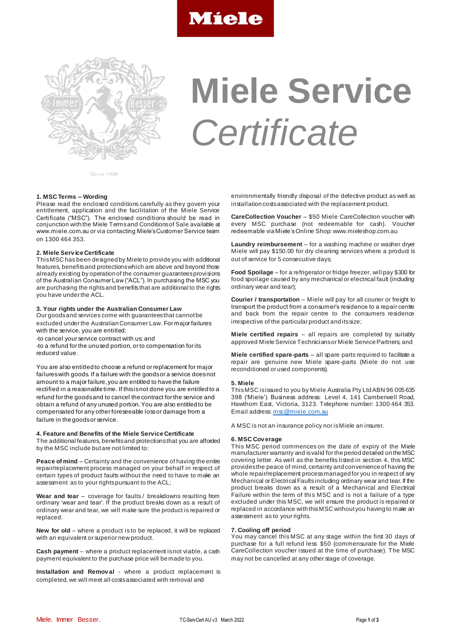



# **Miele Service**  *Certificate*

Since 1899

## **1. MSC Terms – Wording**

Please read the enclosed conditions carefully as they govern your entitlement, application and the facilitation of the Miele Service Certificate ("MSC"). The enclosed conditions should be read in conjunction with the Miele Terms and Conditions of Sale available at www.miele.com.au or via contacting Miele's Customer Service team on 1300 464 353.

# **2. Miele Serv ice Certificate**

This MSC has been designed by Miele to provide you with additional features, benefits and protections which are above and beyond those already existing by operation of the consumer guarantees provisions of the Australian Consumer Law ("ACL"). In purchasing the MSC you are purchasing the rights and benefits that are additional to the rights you have under the ACL.

## **3. Your rights under the Australian Consumer Law**

Our goods and services come with guarantees that cannot be excluded under the Australian Consumer Law. For major failures with the service, you are entitled:

-to cancel your service contract with us; and

-to a refund for the unused portion, or to compensation for its reduced value.

You are also entitled to choose a refund or replacement for major failures with goods. If a failure with the goods or a service does not amount to a major failure, you are entitled to have the failure rectified in a reasonable time. If this is not done you are entitled to a refund for the goods and to cancel the contract for the service and obtain a refund of any unused portion. You are also entitled to be compensated for any other foreseeable loss or damage from a failure in the goods or service.

# **4. Feature and Benefits of the Miele Service Certificate**

The additional features, benefits and protections that you are afforded by the MSC include but are not limited to:

**Peace of mind** – Certainty and the convenience of having the entire repair/replacement process managed on your behalf in respect of certain types of product faults without the need to have to make an assessment as to your rights pursuant to the ACL;

Wear and tear - coverage for faults / breakdowns resulting from ordinary 'wear and tear'. If the product breaks down as a result of ordinary wear and tear, we will make sure the product is repaired or replaced.

**New for old** – where a product is to be replaced, it will be replaced with an equivalent or superior new product.

**Cash payment** – where a product replacement is not viable, a cash payment equivalent to the purchase price will be made to you.

**Installation and Remov al** - where a product replacement is completed, we will meet all costs associated with removal and

environmentally friendly disposal of the defective product as well as installation costs associated with the replacement product.

**CareCollection Voucher** – \$50 Miele CareCollection voucher with every MSC purchase (not redeemable for cash). Voucher redeemable via Miele's Online Shop: www.mieleshop.com.au

**Laundry reimbursement** – for a washing machine or washer dryer Miele will pay \$150.00 for dry cleaning services where a product is out of service for 5 consecutive days;

**Food Spoilage** – for a refrigerator or fridge freezer, will pay \$300 for food spoilage caused by any mechanical or electrical fault (including ordinary wear and tear);

**Courier / transportation** – Miele will pay for all courier or freight to transport the product from a consumer's residence to a repair centre and back from the repair centre to the consumers residence irrespective of the particular product and its size;

**Miele certified repairs** – all repairs are completed by suitably approved Miele Service Technicians or Miele Service Partners; and

**Miele certified spare-parts** – all spare parts required to facilitate a repair are genuine new Miele spare-parts (Miele do not use reconditioned or used components).

# **5. Miele**

This MSC is issued to you by Miele Australia Pty Ltd ABN 96 005 635 398 ('Miele'). Business address: Level 4, 141 Camberwell Road, Hawthorn East, Victoria, 3123. Telephone number: 1300 464 353. Email address[: msc@miele.com.au](mailto:msc@miele.com.au)

A MSC is not an insurance policy nor is Miele an insurer.

# **6. MSC Cov erage**

This MSC period commences on the date of expiry of the Miele manufacturer warranty and is valid for the period detailed on the MSC covering letter. As well as the benefits listed in section 4, this MSC provides the peace of mind, certainty and convenience of having the whole repair/replacement process managed for you in respect of any Mechanical or Electrical Faults including ordinary wear and tear. If the product breaks down as a result of a Mechanical and Electrical Failure within the term of this MSC and is not a failure of a type excluded under this MSC, we will ensure the product is repaired or replaced in accordance with this MSC without you having to make an assessment as to your rights.

#### **7. Cooling off period**

You may cancel this MSC at any stage within the first 30 days of purchase for a full refund less \$50 (commensurate for the Miele CareCollection voucher issued at the time of purchase). The MSC may not be cancelled at any other stage of coverage.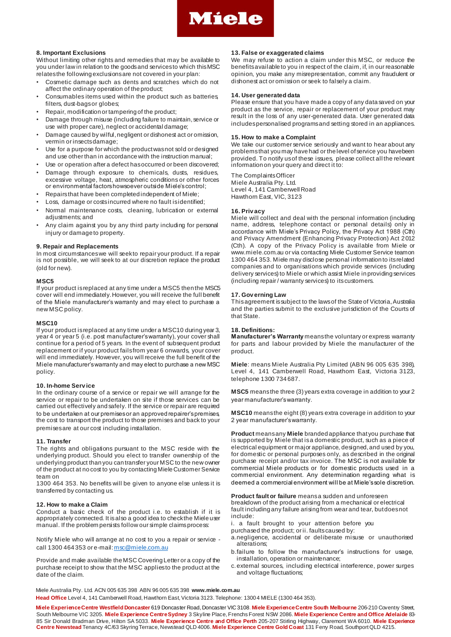

# **8. Important Exclusions**

Without limiting other rights and remedies that may be available to you under law in relation to the goods and services to which this MSC relates the following exclusions are not covered in your plan:

- Cosmetic damage such as dents and scratches which do not affect the ordinary operation of the product;
- Consumables items used within the product such as batteries, filters, dust-bags or globes;
- Repair, modification or tampering of the product;
- Damage through misuse (including failure to maintain, service or use with proper care), neglect or accidental damage;
- Damage caused by wilful, negligent or dishonest act or omission, vermin or insects damage;
- Use for a purpose for which the product was not sold or designed and use other than in accordance with the instruction manual;
- Use or operation after a defect has occurred or been discovered;
- Damage through exposure to chemicals, dusts, residues, excessive voltage, heat, atmospheric conditions or other forces or environmental factors howsoever outside Miele's control;
- Repairs that have been completed independent of Miele;
- Loss, damage or costs incurred where no fault is identified;
- Normal maintenance costs, cleaning, lubrication or external adjustments; and
- Any claim against you by any third party including for personal injury or damage to property.

## **9. Repair and Replacements**

In most circumstances we will seek to repair your product. If a repair is not possible, we will seek to at our discretion replace the product (old for new).

#### **MSC5**

If your product is replaced at any time under a MSC5 then the MSC5 cover will end immediately. However, you will receive the full benefit of the Miele manufacturer's warranty and may elect to purchase a new MSC policy.

#### **MSC10**

If your product is replaced at any time under a MSC10 during year 3, year 4 or year 5 (i.e. post manufacturer's warranty), your cover shall continue for a period of 5 years. In the event of subsequent product replacement or if your product fails from year 6 onwards, your cover will end immediately. However, you will receive the full benefit of the Miele manufacturer's warranty and may elect to purchase a new MSC policy.

#### **10. In-home Serv ice**

In the ordinary course of a service or repair we will arrange for the service or repair to be undertaken on site if those services can be carried out effectively and safely. If the service or repair are required to be undertaken at our premises or an approved repairer's premises, the cost to transport the product to those premises and back to your premises are at our cost including installation.

#### **11. Transfer**

The rights and obligations pursuant to the MSC reside with the underlying product. Should you elect to transfer ownership of the underlying product than you can transfer your MSC to the new owner of the product at no cost to you by contacting Miele Customer Service team on

1300 464 353. No benefits will be given to anyone else unless it is transferred by contacting us.

#### **12. How to make a Claim**

Conduct a basic check of the product i.e. to establish if it is appropriately connected. It isalso a good idea to check the Miele user manual. If the problem persists follow our simple claims process:

Notify Miele who will arrange at no cost to you a repair or service - call 1300 464 353 or e-mail[: msc@miele.com.au](mailto:msc@miele.com.au)

Provide and make available the MSC Covering Letter or a copy of the purchase receipt to show that the MSC applies to the product at the date of the claim.

# **13. False or exaggerated claims**

We may refuse to action a claim under this MSC, or reduce the benefits available to you in respect of the claim, if, in our reasonable opinion, you make any misrepresentation, commit any fraudulent or dishonest act or omission or seek to falsely a claim.

## **14. User generated data**

Please ensure that you have made a copy of any data saved on your product as the service, repair or replacement of your product may result in the loss of any user-generated data. User generated data includes personalised programs and setting stored in an appliances.

# **15. How to make a Complaint**

We take our customer service seriously and want to hear about any problems that you may have had or the level of service you have been provided. To notify us of these issues, please collect all the relevant information on your query and direct it to:

The Complaints Officer Miele Australia Pty. Ltd. Level 4, 141 Camberwell Road Hawthorn East, VIC, 3123

## **16. Priv acy**

Miele will collect and deal with the personal information (including name, address, telephone contact or personal details) only in accordance with Miele's Privacy Policy, the Privacy Act 1988 (Cth) and Privacy Amendment (Enhancing Privacy Protection) Act 2012 (Cth). A copy of the Privacy Policy is available from Miele or www.miele.com.au or via contacting Miele Customer Service teamon 1300 464 353. Miele may disclose personal information to its related companies and to organisations which provide services (including delivery services) to Miele or which assist Miele in providing services (including repair / warranty services) to its customers.

## **17. Gov erning Law**

This agreement is subject to the laws of the State of Victoria, Australia and the parties submit to the exclusive jurisdiction of the Courts of that State.

# **18. Definitions:**

**Manufacturer's Warranty** means the voluntary or express warranty for parts and labour provided by Miele the manufacturer of the product.

**Miele**: means Miele Australia Pty Limited (ABN 96 005 635 398), Level 4, 141 Camberwell Road, Hawthorn East, Victoria 3123, telephone 1300 734 687.

**MSC5** means the three (3) years extra coverage in addition to your 2 year manufacturer's warranty.

**MSC10** means the eight (8) years extra coverage in addition to your 2 year manufacturer's warranty.

**Product** means any **Miele** branded appliance that you purchase that is supported by Miele that is a domestic product, such as a piece of electrical equipment or major appliance, designed, and used by you, for domestic or personal purposes only, as described in the original purchase receipt and/or tax invoice. The MSC is not available for commercial Miele products or for domestic products used in a commercial environment. Any determination regarding what is deemed a commercial environment will be at Miele's sole discretion.

**Product fault or failure** means a sudden and unforeseen breakdown of the product arising from a mechanical or electrical fault including any failure arising from wear and tear, but does not include:

- i. a fault brought to your attention before you
- purchased the product; or ii. faults caused by:
- a.negligence, accidental or deliberate misuse or unauthorised alterations;
- b.failure to follow the manufacturer's instructions for usage, installation, operation or maintenance;
- c.external sources, including electrical interference, power surges and voltage fluctuations;

Miele Australia Pty. Ltd. ACN 005 635 398 ABN 96 005 635 398 **www.miele.com.au Head Office** Level 4, 141 Camberwell Road, Hawthorn East, Victoria 3123. Telephone: 1300 4 MIELE (1300 464 353).

**Miele Experience Centre Westfield Doncaster** 619 Doncaster Road, Doncaster VIC 3108. **Miele Experience Centre South Melbourne** 206-210 Coventry Street, South Melbourne VIC 3205. **Miele Experience Centre Sydney** 3 Skyline Place, Frenchs Forest NSW 2086. **Miele Experience Centre and Office Adelaide** 83- 85 Sir Donald Bradman Drive, Hilton SA 5033. **Miele Experience Centre and Office Perth** 205-207 Stirling Highway, Claremont WA 6010. **Miele Experience Centre Newstead** Tenancy 4C/63 Skyring Terrace, Newstead QLD 4006. **Miele Experience Centre Gold Coast** 131 Ferry Road, Southport QLD 4215.